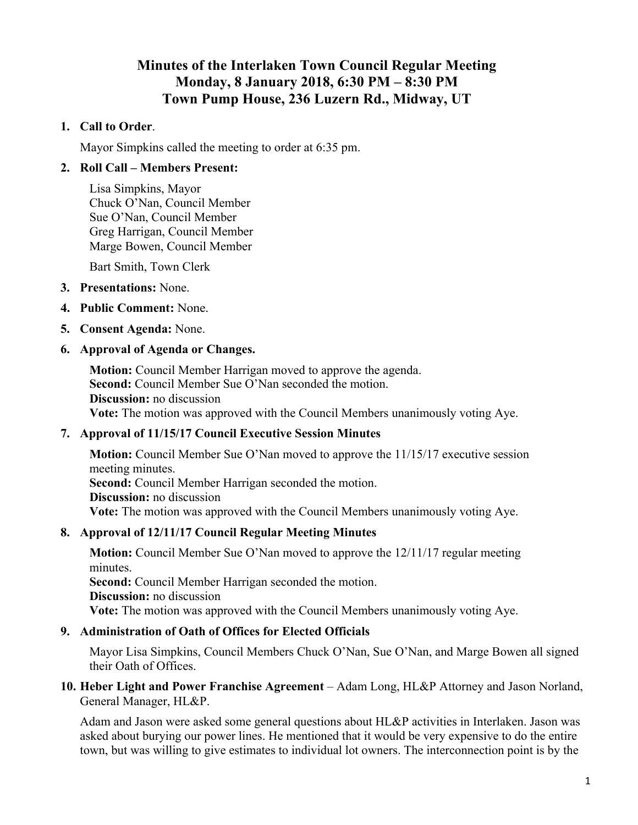# **Minutes of the Interlaken Town Council Regular Meeting Monday, 8 January 2018, 6:30 PM – 8:30 PM Town Pump House, 236 Luzern Rd., Midway, UT**

#### **1. Call to Order**.

Mayor Simpkins called the meeting to order at 6:35 pm.

## **2. Roll Call – Members Present:**

Lisa Simpkins, Mayor Chuck O'Nan, Council Member Sue O'Nan, Council Member Greg Harrigan, Council Member Marge Bowen, Council Member

Bart Smith, Town Clerk

- **3. Presentations:** None.
- **4. Public Comment:** None.
- **5. Consent Agenda:** None.

#### **6. Approval of Agenda or Changes.**

**Motion:** Council Member Harrigan moved to approve the agenda. Second: Council Member Sue O'Nan seconded the motion. **Discussion:** no discussion **Vote:** The motion was approved with the Council Members unanimously voting Aye.

## **7. Approval of 11/15/17 Council Executive Session Minutes**

**Motion:** Council Member Sue O'Nan moved to approve the 11/15/17 executive session meeting minutes. **Second:** Council Member Harrigan seconded the motion. **Discussion:** no discussion **Vote:** The motion was approved with the Council Members unanimously voting Aye.

## **8. Approval of 12/11/17 Council Regular Meeting Minutes**

**Motion:** Council Member Sue O'Nan moved to approve the 12/11/17 regular meeting minutes. **Second:** Council Member Harrigan seconded the motion. **Discussion:** no discussion **Vote:** The motion was approved with the Council Members unanimously voting Aye.

## **9. Administration of Oath of Offices for Elected Officials**

Mayor Lisa Simpkins, Council Members Chuck O'Nan, Sue O'Nan, and Marge Bowen all signed their Oath of Offices.

**10. Heber Light and Power Franchise Agreement** – Adam Long, HL&P Attorney and Jason Norland, General Manager, HL&P.

Adam and Jason were asked some general questions about HL&P activities in Interlaken. Jason was asked about burying our power lines. He mentioned that it would be very expensive to do the entire town, but was willing to give estimates to individual lot owners. The interconnection point is by the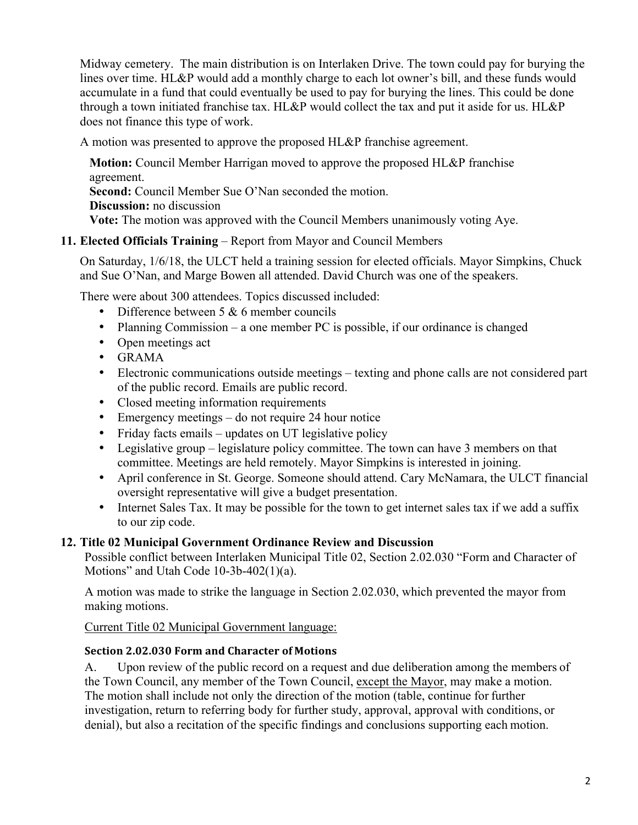Midway cemetery. The main distribution is on Interlaken Drive. The town could pay for burying the lines over time. HL&P would add a monthly charge to each lot owner's bill, and these funds would accumulate in a fund that could eventually be used to pay for burying the lines. This could be done through a town initiated franchise tax. HL&P would collect the tax and put it aside for us. HL&P does not finance this type of work.

A motion was presented to approve the proposed HL&P franchise agreement.

**Motion:** Council Member Harrigan moved to approve the proposed HL&P franchise agreement. **Second:** Council Member Sue O'Nan seconded the motion. **Discussion:** no discussion **Vote:** The motion was approved with the Council Members unanimously voting Aye.

## **11. Elected Officials Training** – Report from Mayor and Council Members

On Saturday, 1/6/18, the ULCT held a training session for elected officials. Mayor Simpkins, Chuck and Sue O'Nan, and Marge Bowen all attended. David Church was one of the speakers.

There were about 300 attendees. Topics discussed included:

- Difference between  $5 & 6$  member councils
- Planning Commission a one member PC is possible, if our ordinance is changed
- Open meetings act
- GRAMA
- Electronic communications outside meetings texting and phone calls are not considered part of the public record. Emails are public record.
- Closed meeting information requirements
- Emergency meetings do not require 24 hour notice
- Friday facts emails updates on UT legislative policy
- Legislative group legislature policy committee. The town can have 3 members on that committee. Meetings are held remotely. Mayor Simpkins is interested in joining.
- April conference in St. George. Someone should attend. Cary McNamara, the ULCT financial oversight representative will give a budget presentation.
- Internet Sales Tax. It may be possible for the town to get internet sales tax if we add a suffix to our zip code.

## **12. Title 02 Municipal Government Ordinance Review and Discussion**

Possible conflict between Interlaken Municipal Title 02, Section 2.02.030 "Form and Character of Motions" and Utah Code 10-3b-402(1)(a).

A motion was made to strike the language in Section 2.02.030, which prevented the mayor from making motions.

Current Title 02 Municipal Government language:

## **Section 2.02.030 Form and Character of Motions**

A. Upon review of the public record on a request and due deliberation among the members of the Town Council, any member of the Town Council, except the Mayor, may make a motion. The motion shall include not only the direction of the motion (table, continue for further investigation, return to referring body for further study, approval, approval with conditions, or denial), but also a recitation of the specific findings and conclusions supporting each motion.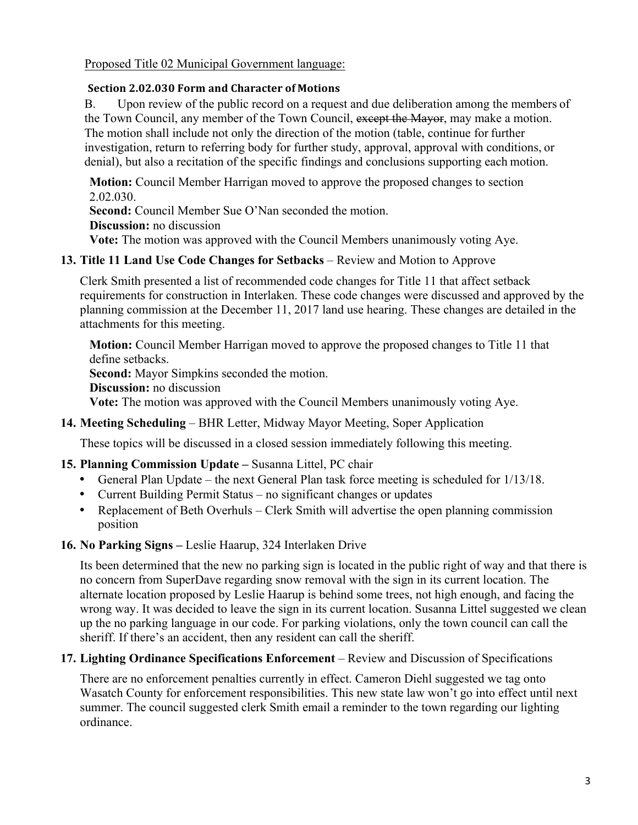Proposed Title 02 Municipal Government language:

#### **Section 2.02.030 Form and Character of Motions**

B. Upon review of the public record on a request and due deliberation among the members of the Town Council, any member of the Town Council, except the Mayor, may make a motion. The motion shall include not only the direction of the motion (table, continue for further investigation, return to referring body for further study, approval, approval with conditions, or denial), but also a recitation of the specific findings and conclusions supporting each motion.

**Motion:** Council Member Harrigan moved to approve the proposed changes to section 2.02.030.

Second: Council Member Sue O'Nan seconded the motion.

**Discussion:** no discussion

**Vote:** The motion was approved with the Council Members unanimously voting Aye.

## **13. Title 11 Land Use Code Changes for Setbacks** – Review and Motion to Approve

Clerk Smith presented a list of recommended code changes for Title 11 that affect setback requirements for construction in Interlaken. These code changes were discussed and approved by the planning commission at the December 11, 2017 land use hearing. These changes are detailed in the attachments for this meeting.

**Motion:** Council Member Harrigan moved to approve the proposed changes to Title 11 that define setbacks.

**Second:** Mayor Simpkins seconded the motion.

**Discussion:** no discussion

**Vote:** The motion was approved with the Council Members unanimously voting Aye.

## **14. Meeting Scheduling** – BHR Letter, Midway Mayor Meeting, Soper Application

These topics will be discussed in a closed session immediately following this meeting.

## **15. Planning Commission Update –** Susanna Littel, PC chair

- General Plan Update the next General Plan task force meeting is scheduled for  $1/13/18$ .
- Current Building Permit Status no significant changes or updates
- Replacement of Beth Overhuls Clerk Smith will advertise the open planning commission position

## **16. No Parking Signs –** Leslie Haarup, 324 Interlaken Drive

Its been determined that the new no parking sign is located in the public right of way and that there is no concern from SuperDave regarding snow removal with the sign in its current location. The alternate location proposed by Leslie Haarup is behind some trees, not high enough, and facing the wrong way. It was decided to leave the sign in its current location. Susanna Littel suggested we clean up the no parking language in our code. For parking violations, only the town council can call the sheriff. If there's an accident, then any resident can call the sheriff.

## **17. Lighting Ordinance Specifications Enforcement** – Review and Discussion of Specifications

There are no enforcement penalties currently in effect. Cameron Diehl suggested we tag onto Wasatch County for enforcement responsibilities. This new state law won't go into effect until next summer. The council suggested clerk Smith email a reminder to the town regarding our lighting ordinance.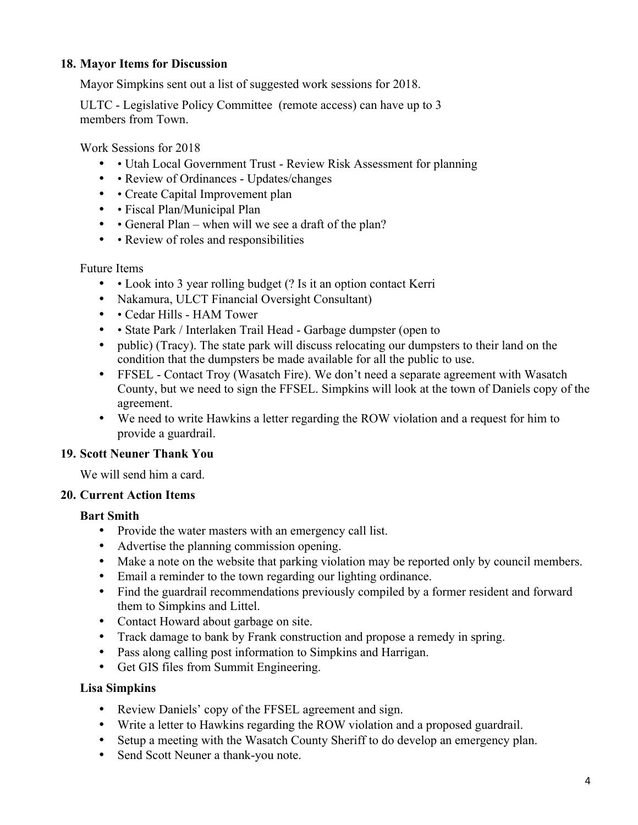## **18. Mayor Items for Discussion**

Mayor Simpkins sent out a list of suggested work sessions for 2018.

ULTC - Legislative Policy Committee (remote access) can have up to 3 members from Town.

Work Sessions for 2018

- • Utah Local Government Trust Review Risk Assessment for planning
- • Review of Ordinances Updates/changes
- • Create Capital Improvement plan
- • Fiscal Plan/Municipal Plan
- • General Plan when will we see a draft of the plan?
- • Review of roles and responsibilities

Future Items

- • Look into 3 year rolling budget (? Is it an option contact Kerri
- Nakamura, ULCT Financial Oversight Consultant)
- • Cedar Hills HAM Tower
- • State Park / Interlaken Trail Head Garbage dumpster (open to
- public) (Tracy). The state park will discuss relocating our dumpsters to their land on the condition that the dumpsters be made available for all the public to use.
- FFSEL Contact Troy (Wasatch Fire). We don't need a separate agreement with Wasatch County, but we need to sign the FFSEL. Simpkins will look at the town of Daniels copy of the agreement.
- We need to write Hawkins a letter regarding the ROW violation and a request for him to provide a guardrail.

## **19. Scott Neuner Thank You**

We will send him a card.

## **20. Current Action Items**

## **Bart Smith**

- Provide the water masters with an emergency call list.
- Advertise the planning commission opening.
- Make a note on the website that parking violation may be reported only by council members.
- Email a reminder to the town regarding our lighting ordinance.
- Find the guardrail recommendations previously compiled by a former resident and forward them to Simpkins and Littel.
- Contact Howard about garbage on site.
- Track damage to bank by Frank construction and propose a remedy in spring.
- Pass along calling post information to Simpkins and Harrigan.
- Get GIS files from Summit Engineering.

## **Lisa Simpkins**

- Review Daniels' copy of the FFSEL agreement and sign.
- Write a letter to Hawkins regarding the ROW violation and a proposed guardrail.
- Setup a meeting with the Wasatch County Sheriff to do develop an emergency plan.
- Send Scott Neuner a thank-you note.